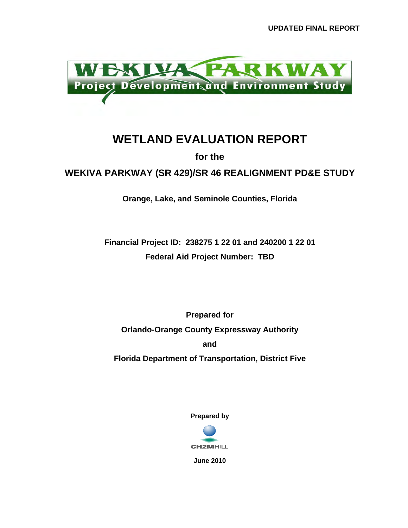

## **WETLAND EVALUATION REPORT**

**for the** 

**WEKIVA PARKWAY (SR 429)/SR 46 REALIGNMENT PD&E STUDY** 

**Orange, Lake, and Seminole Counties, Florida** 

**Financial Project ID: 238275 1 22 01 and 240200 1 22 01 Federal Aid Project Number: TBD** 

**Prepared for Orlando-Orange County Expressway Authority and Florida Department of Transportation, District Five** 

**Prepared by** 



**June 2010**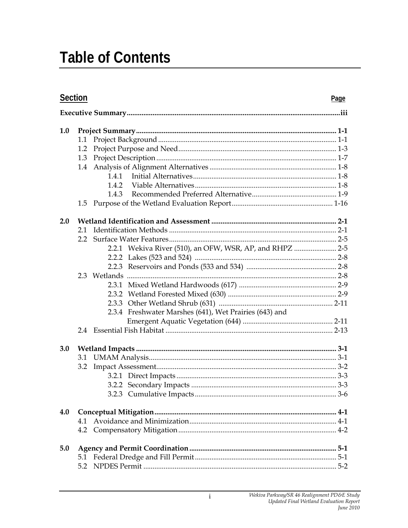# **Table of Contents**

| <b>Section</b><br>Page |     |                                                        |  |  |  |
|------------------------|-----|--------------------------------------------------------|--|--|--|
|                        |     |                                                        |  |  |  |
| 1.0                    |     |                                                        |  |  |  |
|                        | 1.1 |                                                        |  |  |  |
|                        | 1.2 |                                                        |  |  |  |
|                        | 1.3 |                                                        |  |  |  |
|                        |     |                                                        |  |  |  |
|                        |     | 1.4.1                                                  |  |  |  |
|                        |     | 1.4.2                                                  |  |  |  |
|                        |     | 1.4.3                                                  |  |  |  |
|                        |     |                                                        |  |  |  |
| 2.0                    |     |                                                        |  |  |  |
|                        | 2.1 |                                                        |  |  |  |
|                        | 2.2 |                                                        |  |  |  |
|                        |     | 2.2.1 Wekiva River (510), an OFW, WSR, AP, and RHPZ    |  |  |  |
|                        |     |                                                        |  |  |  |
|                        |     |                                                        |  |  |  |
|                        |     |                                                        |  |  |  |
|                        |     |                                                        |  |  |  |
|                        |     |                                                        |  |  |  |
|                        |     |                                                        |  |  |  |
|                        |     | 2.3.4 Freshwater Marshes (641), Wet Prairies (643) and |  |  |  |
|                        |     |                                                        |  |  |  |
|                        |     |                                                        |  |  |  |
| 3.0                    |     |                                                        |  |  |  |
|                        | 3.1 |                                                        |  |  |  |
|                        | 3.2 |                                                        |  |  |  |
|                        |     |                                                        |  |  |  |
|                        |     |                                                        |  |  |  |
|                        |     |                                                        |  |  |  |
| 4.0                    |     |                                                        |  |  |  |
|                        |     |                                                        |  |  |  |
|                        |     |                                                        |  |  |  |
| 5.0                    |     |                                                        |  |  |  |
|                        |     |                                                        |  |  |  |
|                        |     |                                                        |  |  |  |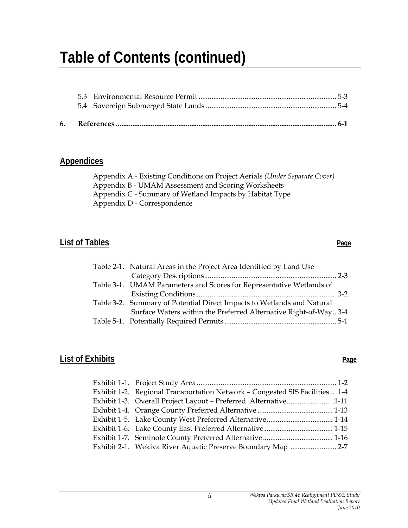# **Table of Contents (continued)**

#### **Appendices**

Appendix A - Existing Conditions on Project Aerials *(Under Separate Cover)* Appendix B - UMAM Assessment and Scoring Worksheets Appendix C - Summary of Wetland Impacts by Habitat Type Appendix D - Correspondence

#### **List of Tables** Page

#### Table 2-1. Natural Areas in the Project Area Identified by Land Use Category Descriptions ........................................................................ 2-3 Table 3-1. UMAM Parameters and Scores for Representative Wetlands of Existing Conditions ........................................................................... 3-2 Table 3-2. Summary of Potential Direct Impacts to Wetlands and Natural Surface Waters within the Preferred Alternative Right-of-Way .. 3-4 Table 5-1. Potentially Required Permits ............................................................. 5-1

### **List of Exhibits** Page

| Exhibit 1-2. Regional Transportation Network - Congested SIS Facilities  1-4 |
|------------------------------------------------------------------------------|
| Exhibit 1-3. Overall Project Layout - Preferred Alternative 1-11             |
|                                                                              |
|                                                                              |
|                                                                              |
|                                                                              |
|                                                                              |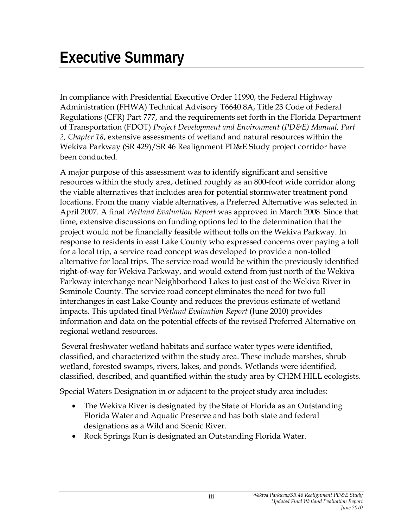In compliance with Presidential Executive Order 11990, the Federal Highway Administration (FHWA) Technical Advisory T6640.8A, Title 23 Code of Federal Regulations (CFR) Part 777, and the requirements set forth in the Florida Department of Transportation (FDOT) *Project Development and Environment (PD&E) Manual, Part 2, Chapter 18*, extensive assessments of wetland and natural resources within the Wekiva Parkway (SR 429)/SR 46 Realignment PD&E Study project corridor have been conducted.

A major purpose of this assessment was to identify significant and sensitive resources within the study area, defined roughly as an 800-foot wide corridor along the viable alternatives that includes area for potential stormwater treatment pond locations. From the many viable alternatives, a Preferred Alternative was selected in April 2007. A final *Wetland Evaluation Report* was approved in March 2008. Since that time, extensive discussions on funding options led to the determination that the project would not be financially feasible without tolls on the Wekiva Parkway. In response to residents in east Lake County who expressed concerns over paying a toll for a local trip, a service road concept was developed to provide a non-tolled alternative for local trips. The service road would be within the previously identified right-of-way for Wekiva Parkway, and would extend from just north of the Wekiva Parkway interchange near Neighborhood Lakes to just east of the Wekiva River in Seminole County. The service road concept eliminates the need for two full interchanges in east Lake County and reduces the previous estimate of wetland impacts. This updated final *Wetland Evaluation Report* (June 2010) provides information and data on the potential effects of the revised Preferred Alternative on regional wetland resources.

 Several freshwater wetland habitats and surface water types were identified, classified, and characterized within the study area. These include marshes, shrub wetland, forested swamps, rivers, lakes, and ponds. Wetlands were identified, classified, described, and quantified within the study area by CH2M HILL ecologists.

Special Waters Designation in or adjacent to the project study area includes:

- The Wekiva River is designated by the State of Florida as an Outstanding Florida Water and Aquatic Preserve and has both state and federal designations as a Wild and Scenic River.
- Rock Springs Run is designated an Outstanding Florida Water.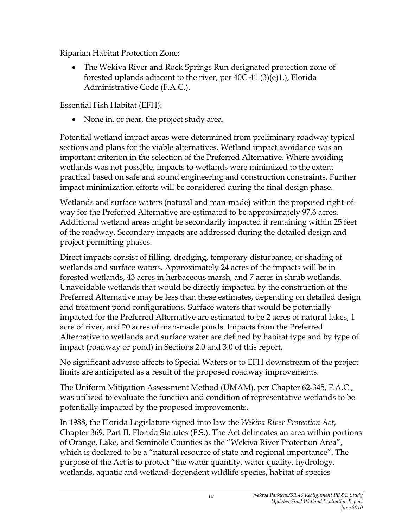Riparian Habitat Protection Zone:

• The Wekiva River and Rock Springs Run designated protection zone of forested uplands adjacent to the river, per 40C-41 (3)(e)1.), Florida Administrative Code (F.A.C.).

Essential Fish Habitat (EFH):

• None in, or near, the project study area.

Potential wetland impact areas were determined from preliminary roadway typical sections and plans for the viable alternatives. Wetland impact avoidance was an important criterion in the selection of the Preferred Alternative. Where avoiding wetlands was not possible, impacts to wetlands were minimized to the extent practical based on safe and sound engineering and construction constraints. Further impact minimization efforts will be considered during the final design phase.

Wetlands and surface waters (natural and man-made) within the proposed right-ofway for the Preferred Alternative are estimated to be approximately 97.6 acres. Additional wetland areas might be secondarily impacted if remaining within 25 feet of the roadway. Secondary impacts are addressed during the detailed design and project permitting phases.

Direct impacts consist of filling, dredging, temporary disturbance, or shading of wetlands and surface waters. Approximately 24 acres of the impacts will be in forested wetlands, 43 acres in herbaceous marsh, and 7 acres in shrub wetlands. Unavoidable wetlands that would be directly impacted by the construction of the Preferred Alternative may be less than these estimates, depending on detailed design and treatment pond configurations. Surface waters that would be potentially impacted for the Preferred Alternative are estimated to be 2 acres of natural lakes, 1 acre of river, and 20 acres of man-made ponds. Impacts from the Preferred Alternative to wetlands and surface water are defined by habitat type and by type of impact (roadway or pond) in Sections 2.0 and 3.0 of this report.

No significant adverse affects to Special Waters or to EFH downstream of the project limits are anticipated as a result of the proposed roadway improvements.

The Uniform Mitigation Assessment Method (UMAM), per Chapter 62-345, F.A.C., was utilized to evaluate the function and condition of representative wetlands to be potentially impacted by the proposed improvements.

In 1988, the Florida Legislature signed into law the *Wekiva River Protection Act*, Chapter 369, Part II, Florida Statutes (F.S.). The Act delineates an area within portions of Orange, Lake, and Seminole Counties as the "Wekiva River Protection Area", which is declared to be a "natural resource of state and regional importance". The purpose of the Act is to protect "the water quantity, water quality, hydrology, wetlands, aquatic and wetland-dependent wildlife species, habitat of species